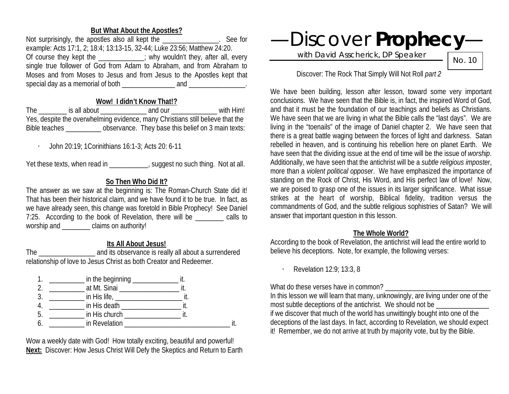**But What About the Apostles?**<br>Apostles also all kept the **Secure 1997** See for Not surprisingly, the apostles also all kept the example: Acts 17:1, 2; 18:4; 13:13-15, 32-44; Luke 23:56; Matthew 24:20. Of course they kept the  $\cdots$ ; why wouldn't they, after all, every single true follower of God from Adam to Abraham, and from Abraham to Moses and from Moses to Jesus and from Jesus to the Apostles kept that special day as a memorial of both  $\frac{1}{\frac{1}{1-\frac{1}{1-\frac{1}{1-\frac{1}{1-\frac{1}{1-\frac{1}{1-\frac{1}{1-\frac{1}{1-\frac{1}{1-\frac{1}{1-\frac{1}{1-\frac{1}{1-\frac{1}{1-\frac{1}{1-\frac{1}{1-\frac{1}{1-\frac{1}{1-\frac{1}{1-\frac{1}{1-\frac{1}{1-\frac{1}{1-\frac{1}{1-\frac{1}{1-\frac{1}{1-\frac{1}{1-\frac{1}{1-\frac{1}{1-\frac{1}{1-\frac{1}{1-\frac{1}{1-\$ 

### **Wow! I didn't Know That!?**

The is all about and our the with Him! Yes, despite the overwhelming evidence, many Christians still believe that the Bible teaches \_\_\_\_\_\_\_\_\_\_ observance. They base this belief on 3 main texts:

· John 20:19; 1Corinithians 16:1-3; Acts 20: 6-11

Yet these texts, when read in \_\_\_\_\_\_\_\_\_\_\_, suggest no such thing. Not at all.

# **So Then Who Did It?**

The answer as we saw at the beginning is: The Roman-Church State did it! That has been their historical claim, and we have found it to be true. In fact, as we have already seen, this change was foretold in Bible Prophecy! See Daniel 7:25. According to the book of Revelation, there will be calls to worship and \_\_\_\_\_\_\_\_\_ claims on authority!

## **Its All About Jesus!**

The \_\_\_\_\_\_\_\_\_\_\_\_\_\_\_\_ and its observance is really all about a surrendered relationship of love to Jesus Christ as both Creator and Redeemer.



Wow a weekly date with God! How totally exciting, beautiful and powerful! **Next:** Discover: How Jesus Christ Will Defy the Skeptics and Return to Earth —Discover **Prophecy**—

with David Asscherick, DP Speaker

No. 10

## Discover: The Rock That Simply Will Not Roll *part 2*

We have been building, lesson after lesson, toward some very important conclusions. We have seen that the Bible is, in fact, the inspired Word of God, and that it must be the foundation of our teachings and beliefs as Christians. We have seen that we are living in what the Bible calls the "last days". We are living in the "toenails" of the image of Daniel chapter 2. We have seen that there is a great battle waging between the forces of light and darkness. Satan rebelled in heaven, and is continuing his rebellion here on planet Earth. We have seen that the dividing issue at the end of time will be the issue of *worship*. Additionally, we have seen that the antichrist will be a *subtle religious imposter*, more than a *violent political opposer*. We have emphasized the importance of standing on the Rock of Christ, His Word, and His perfect law of love! Now, we are poised to grasp one of the issues in its larger significance. What issue strikes at the heart of worship, Biblical fidelity, tradition versus the commandments of God, and the subtle religious sophistries of Satan? We will answer that important question in this lesson.

### **The Whole World?**

According to the book of Revelation, the antichrist will lead the entire world to believe his deceptions. Note, for example, the following verses:

· Revelation 12:9; 13:3, 8

What do these verses have in common?

In this lesson we will learn that many, unknowingly, are living under one of the most subtle deceptions of the antichrist. We should not be if we discover that much of the world has unwittingly bought into one of the deceptions of the last days. In fact, according to Revelation, we should expect it! Remember, we do not arrive at truth by majority vote, but by the Bible.